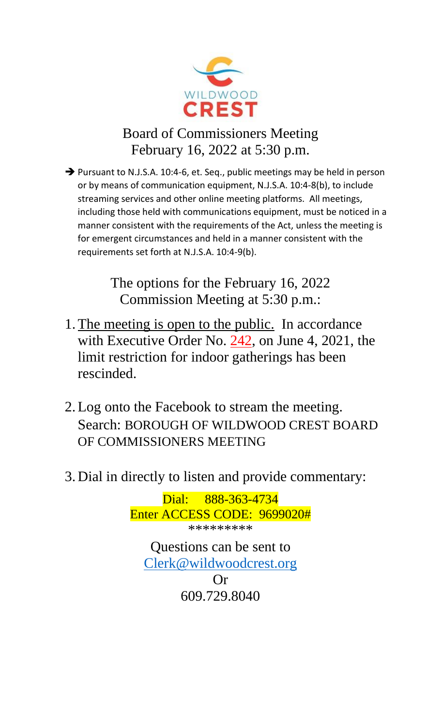

# Board of Commissioners Meeting February 16, 2022 at 5:30 p.m.

➔ Pursuant to N.J.S.A. 10:4-6, et. Seq., public meetings may be held in person or by means of communication equipment, N.J.S.A. 10:4-8(b), to include streaming services and other online meeting platforms. All meetings, including those held with communications equipment, must be noticed in a manner consistent with the requirements of the Act, unless the meeting is for emergent circumstances and held in a manner consistent with the requirements set forth at N.J.S.A. 10:4-9(b).

> The options for the February 16, 2022 Commission Meeting at 5:30 p.m.:

- 1.The meeting is open to the public. In accordance with Executive Order No. 242, on June 4, 2021, the limit restriction for indoor gatherings has been rescinded.
- 2.Log onto the Facebook to stream the meeting. Search: BOROUGH OF WILDWOOD CREST BOARD OF COMMISSIONERS MEETING
- 3. Dial in directly to listen and provide commentary:

Dial: 888-363-4734 Enter ACCESS CODE: 9699020# \*\*\*\*\*\*\*\*\* Questions can be sent to [Clerk@wildwoodcrest.org](mailto:Clerk@wildwoodcrest.org) Or 609.729.8040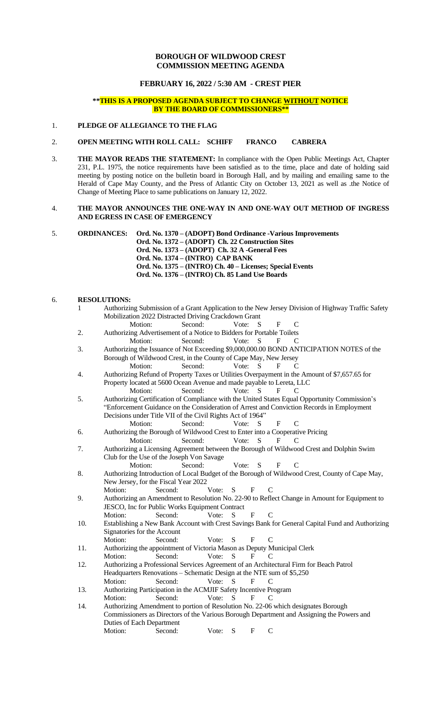#### **BOROUGH OF WILDWOOD CREST COMMISSION MEETING AGENDA**

### **FEBRUARY 16, 2022 / 5:30 AM - CREST PIER**

#### **\*\*THIS IS A PROPOSED AGENDA SUBJECT TO CHANGE WITHOUT NOTICE BY THE BOARD OF COMMISSIONERS\*\***

#### 1. **PLEDGE OF ALLEGIANCE TO THE FLAG**

#### 2. **OPEN MEETING WITH ROLL CALL: SCHIFF FRANCO CABRERA**

3. **THE MAYOR READS THE STATEMENT:** In compliance with the Open Public Meetings Act, Chapter 231, P.L. 1975, the notice requirements have been satisfied as to the time, place and date of holding said meeting by posting notice on the bulletin board in Borough Hall, and by mailing and emailing same to the Herald of Cape May County, and the Press of Atlantic City on October 13, 2021 as well as .the Notice of Change of Meeting Place to same publications on January 12, 2022.

#### 4. **THE MAYOR ANNOUNCES THE ONE-WAY IN AND ONE-WAY OUT METHOD OF INGRESS AND EGRESS IN CASE OF EMERGENCY**

5. **ORDINANCES: Ord. No. 1370 – (ADOPT) Bond Ordinance -Various Improvements Ord. No. 1372 – (ADOPT) Ch. 22 Construction Sites Ord. No. 1373 – (ADOPT) Ch. 32 A -General Fees Ord. No. 1374 – (INTRO) CAP BANK Ord. No. 1375 – (INTRO) Ch. 40 – Licenses; Special Events**

## **Ord. No. 1376 – (INTRO) Ch. 85 Land Use Boards**

#### 6. **RESOLUTIONS:**

| 1   |                                                                                                                                                                        | Authorizing Submission of a Grant Application to the New Jersey Division of Highway Traffic Safety |       |              |              |                             |                |  |  |
|-----|------------------------------------------------------------------------------------------------------------------------------------------------------------------------|----------------------------------------------------------------------------------------------------|-------|--------------|--------------|-----------------------------|----------------|--|--|
|     |                                                                                                                                                                        | Mobilization 2022 Distracted Driving Crackdown Grant                                               |       |              |              |                             |                |  |  |
|     | Motion:                                                                                                                                                                | Second:                                                                                            |       | Vote:        | S            | $\mathbf F$                 | $\mathbf C$    |  |  |
| 2.  |                                                                                                                                                                        | Authorizing Advertisement of a Notice to Bidders for Portable Toilets                              |       |              |              |                             |                |  |  |
|     | Motion:                                                                                                                                                                | Second:                                                                                            |       | Vote:        | S            | F                           | C              |  |  |
| 3.  | Authorizing the Issuance of Not Exceeding \$9,000,000.00 BOND ANTICIPATION NOTES of the<br>Borough of Wildwood Crest, in the County of Cape May, New Jersey            |                                                                                                    |       |              |              |                             |                |  |  |
|     |                                                                                                                                                                        |                                                                                                    |       |              |              |                             |                |  |  |
|     | Motion:                                                                                                                                                                | Second:                                                                                            |       | Vote:        | S            | F                           | C              |  |  |
| 4.  | Authorizing Refund of Property Taxes or Utilities Overpayment in the Amount of \$7,657.65 for<br>Property located at 5600 Ocean Avenue and made payable to Lereta, LLC |                                                                                                    |       |              |              |                             |                |  |  |
|     |                                                                                                                                                                        |                                                                                                    |       | Vote:        | S            | $\mathbf{F}$                |                |  |  |
|     | Motion:                                                                                                                                                                | Second:                                                                                            |       |              |              |                             | C              |  |  |
| 5.  | Authorizing Certification of Compliance with the United States Equal Opportunity Commission's                                                                          |                                                                                                    |       |              |              |                             |                |  |  |
|     | "Enforcement Guidance on the Consideration of Arrest and Conviction Records in Employment<br>Decisions under Title VII of the Civil Rights Act of 1964"                |                                                                                                    |       |              |              |                             |                |  |  |
|     |                                                                                                                                                                        |                                                                                                    |       |              |              |                             |                |  |  |
|     | Motion:                                                                                                                                                                | Second:                                                                                            |       | Vote:        | S            | F                           | C              |  |  |
| 6.  |                                                                                                                                                                        | Authorizing the Borough of Wildwood Crest to Enter into a Cooperative Pricing                      |       |              |              |                             |                |  |  |
|     | Motion:                                                                                                                                                                | Second:                                                                                            |       | Vote:        | S            | F                           | C              |  |  |
| 7.  |                                                                                                                                                                        | Authorizing a Licensing Agreement between the Borough of Wildwood Crest and Dolphin Swim           |       |              |              |                             |                |  |  |
|     | Motion:                                                                                                                                                                | Club for the Use of the Joseph Von Savage<br>Second:                                               |       | Vote:        | S            |                             | $\overline{C}$ |  |  |
| 8.  |                                                                                                                                                                        |                                                                                                    |       |              |              | $\mathbf F$                 |                |  |  |
|     | Authorizing Introduction of Local Budget of the Borough of Wildwood Crest, County of Cape May,<br>New Jersey, for the Fiscal Year 2022                                 |                                                                                                    |       |              |              |                             |                |  |  |
|     | Motion:                                                                                                                                                                | Second:                                                                                            | Vote: | S            | $\mathbf F$  | $\mathcal{C}$               |                |  |  |
| 9.  |                                                                                                                                                                        |                                                                                                    |       |              |              |                             |                |  |  |
|     | Authorizing an Amendment to Resolution No. 22-90 to Reflect Change in Amount for Equipment to<br>JESCO, Inc for Public Works Equipment Contract                        |                                                                                                    |       |              |              |                             |                |  |  |
|     | Motion:                                                                                                                                                                | Second:                                                                                            | Vote: | S            | F            | $\mathcal{C}$               |                |  |  |
| 10. | Establishing a New Bank Account with Crest Savings Bank for General Capital Fund and Authorizing                                                                       |                                                                                                    |       |              |              |                             |                |  |  |
|     | Signatories for the Account                                                                                                                                            |                                                                                                    |       |              |              |                             |                |  |  |
|     | Motion:                                                                                                                                                                | Second:                                                                                            | Vote: | S            | F            | C                           |                |  |  |
| 11. |                                                                                                                                                                        | Authorizing the appointment of Victoria Mason as Deputy Municipal Clerk                            |       |              |              |                             |                |  |  |
|     | Motion:                                                                                                                                                                | Second:                                                                                            | Vote: | <sub>S</sub> | F            | $\mathcal{C}_{\mathcal{C}}$ |                |  |  |
| 12. | Authorizing a Professional Services Agreement of an Architectural Firm for Beach Patrol                                                                                |                                                                                                    |       |              |              |                             |                |  |  |
|     | Headquarters Renovations - Schematic Design at the NTE sum of \$5,250                                                                                                  |                                                                                                    |       |              |              |                             |                |  |  |
|     | Motion:                                                                                                                                                                | Second:                                                                                            | Vote: | ${\bf S}$    | $\mathbf{F}$ | C                           |                |  |  |
| 13. |                                                                                                                                                                        | Authorizing Participation in the ACMJIF Safety Incentive Program                                   |       |              |              |                             |                |  |  |
|     | Motion:                                                                                                                                                                | Second:                                                                                            | Vote: | S            | F            | C                           |                |  |  |
| 14. | Authorizing Amendment to portion of Resolution No. 22-06 which designates Borough                                                                                      |                                                                                                    |       |              |              |                             |                |  |  |
|     | Commissioners as Directors of the Various Borough Department and Assigning the Powers and                                                                              |                                                                                                    |       |              |              |                             |                |  |  |
|     | Duties of Each Department                                                                                                                                              |                                                                                                    |       |              |              |                             |                |  |  |
|     | Motion:                                                                                                                                                                | Second:                                                                                            | Vote: | S            | $\mathbf{F}$ | $\mathcal{C}$               |                |  |  |